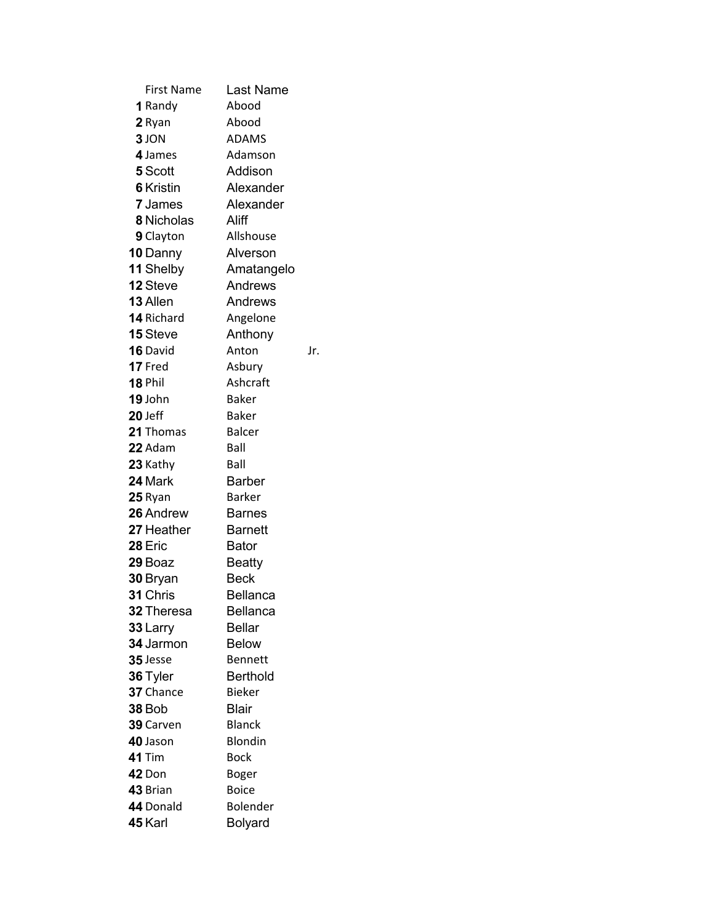| <b>First Name</b> | Last Name       |     |
|-------------------|-----------------|-----|
| 1 Randy           | Abood           |     |
| 2 Ryan            | Abood           |     |
| 3 JON             | <b>ADAMS</b>    |     |
| 4 James           | Adamson         |     |
| 5 Scott           | Addison         |     |
| <b>6</b> Kristin  | Alexander       |     |
| <b>7</b> James    | Alexander       |     |
| 8 Nicholas        | Aliff           |     |
| 9 Clayton         | Allshouse       |     |
| 10 Danny          | Alverson        |     |
| 11 Shelby         | Amatangelo      |     |
| 12 Steve          | Andrews         |     |
| 13 Allen          | Andrews         |     |
| <b>14</b> Richard | Angelone        |     |
| 15 Steve          | Anthony         |     |
| <b>16</b> David   | Anton           | Jr. |
| 17 Fred           | Asbury          |     |
| 18 Phil           | Ashcraft        |     |
| 19 John           | Baker           |     |
| $20$ Jeff         | Baker           |     |
| 21 Thomas         | <b>Balcer</b>   |     |
| <b>22</b> Adam    | Ball            |     |
| 23 Kathy          | Ball            |     |
| 24 Mark           | Barber          |     |
| <b>25</b> Ryan    | <b>Barker</b>   |     |
| 26 Andrew         | <b>Barnes</b>   |     |
| 27 Heather        | <b>Barnett</b>  |     |
| 28 Eric           | <b>Bator</b>    |     |
| 29 Boaz           | <b>Beatty</b>   |     |
| 30 Bryan          | <b>Beck</b>     |     |
| 31 Chris          | <b>Bellanca</b> |     |
| <b>32</b> Theresa | Bellanca        |     |
| 33 Larry          | <b>Bellar</b>   |     |
| 34 Jarmon         | <b>Below</b>    |     |
| $35$ Jesse        | Bennett         |     |
| 36 Tyler          | <b>Berthold</b> |     |
| 37 Chance         | <b>Bieker</b>   |     |
| <b>38 Bob</b>     | <b>Blair</b>    |     |
| 39 Carven         | <b>Blanck</b>   |     |
| 40 Jason          | <b>Blondin</b>  |     |
| 41 Tim            | <b>Bock</b>     |     |
| 42 Don            | Boger           |     |
| 43 Brian          | <b>Boice</b>    |     |
| 44 Donald         | Bolender        |     |
| 45 Karl           | <b>Bolyard</b>  |     |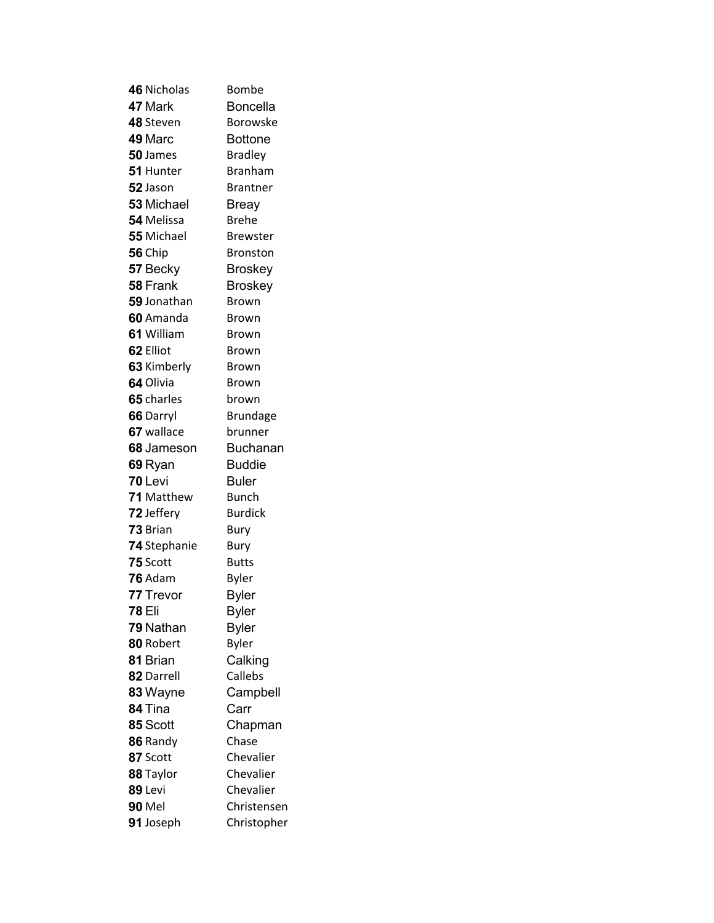| 46 Nicholas        | Bombe           |
|--------------------|-----------------|
| 47 Mark            | <b>Boncella</b> |
| 48 Steven          | Borowske        |
| 49 Marc            | Bottone         |
| 50 James           | <b>Bradley</b>  |
| 51 Hunter          | <b>Branham</b>  |
| 52 Jason           | Brantner        |
| 53 Michael         | Breay           |
| 54 Melissa         | Brehe           |
| 55 Michael         | <b>Brewster</b> |
| 56 Chip            | <b>Bronston</b> |
| 57 Becky           | <b>Broskey</b>  |
| 58 Frank           | Broskey         |
| <b>59</b> Jonathan | Brown           |
| 60 Amanda          | Brown           |
| 61 William         | Brown           |
| 62 Elliot          | Brown           |
| 63 Kimberly        | Brown           |
| 64 Olivia          | <b>Brown</b>    |
| 65 charles         | brown           |
| 66 Darryl          | <b>Brundage</b> |
| 67 wallace         | brunner         |
| 68 Jameson         | Buchanan        |
| 69 Ryan            | Buddie          |
| 70 Levi            | Buler           |
| <b>71</b> Matthew  | Bunch           |
| 72 Jeffery         | <b>Burdick</b>  |
| 73 Brian           | Bury            |
| 74 Stephanie       | Bury            |
| 75 Scott           | <b>Butts</b>    |
| 76 Adam            | <b>Byler</b>    |
| 77 Trevor          | <b>Byler</b>    |
| <b>78 Eli</b>      | <b>Byler</b>    |
| 79 Nathan          | <b>Byler</b>    |
| 80 Robert          | <b>Byler</b>    |
| 81 Brian           | Calking         |
| 82 Darrell         | Callebs         |
| 83 Wayne           | Campbell        |
| 84 Tina            | Carr            |
| 85 Scott           | Chapman         |
| 86 Randy           | Chase           |
| 87 Scott           | Chevalier       |
| 88 Taylor          | Chevalier       |
| 89 Levi            | Chevalier       |
| <b>90 Mel</b>      | Christensen     |
| 91 Joseph          | Christopher     |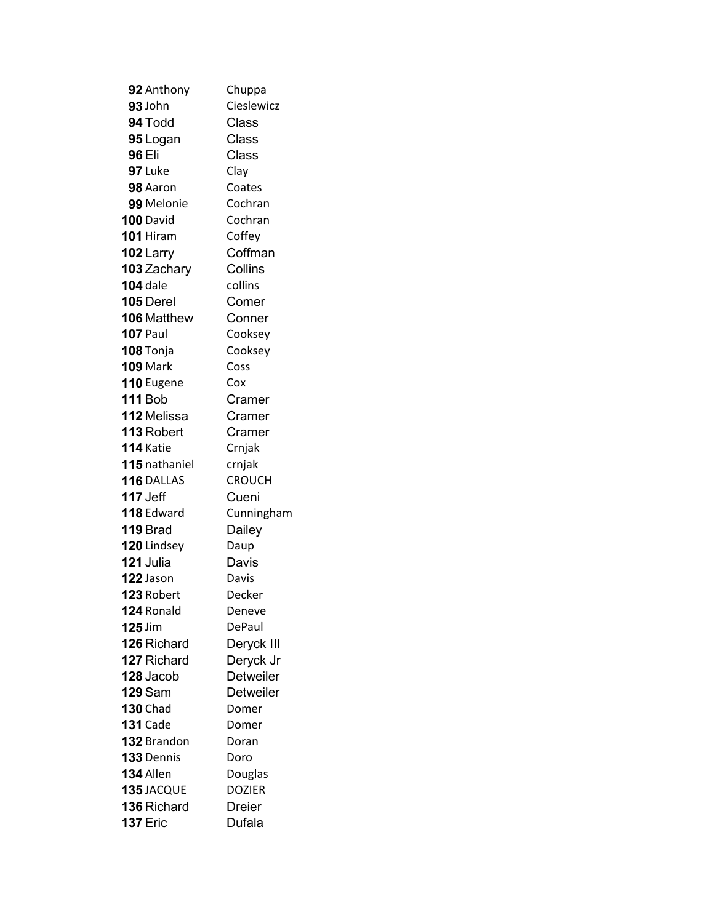| 92 Anthony       | Chuppa        |
|------------------|---------------|
| 93 John          | Cieslewicz    |
| 94 Todd          | Class         |
| 95 Logan         | Class         |
| 96 Eli           | Class         |
| 97 Luke          | Clay          |
| 98 Aaron         | Coates        |
| 99 Melonie       | Cochran       |
| 100 David        | Cochran       |
| 101 Hiram        | Coffey        |
| 102 Larry        | Coffman       |
| 103 Zachary      | Collins       |
| <b>104</b> dale  | collins       |
| <b>105 Derel</b> | Comer         |
| 106 Matthew      | Conner        |
| <b>107 Paul</b>  | Cooksey       |
| <b>108 Tonja</b> | Cooksey       |
| <b>109 Mark</b>  | Coss          |
| 110 Eugene       | Cox           |
| <b>111 Bob</b>   | Cramer        |
| 112 Melissa      | Cramer        |
| 113 Robert       | Cramer        |
| <b>114</b> Katie | Crnjak        |
| 115 nathaniel    | crnjak        |
| 116 DALLAS       | <b>CROUCH</b> |
| <b>117 Jeff</b>  | Cueni         |
| 118 Edward       | Cunningham    |
| <b>119</b> Brad  | Dailey        |
| 120 Lindsey      | Daup          |
| 121 Julia        | Davis         |
| 122 Jason        | Davis         |
| 123 Robert       | Decker        |
| 124 Ronald       | Deneve        |
| 125 Jim          | DePaul        |
| 126 Richard      | Deryck III    |
| 127 Richard      | Deryck Jr     |
| 128 Jacob        | Detweiler     |
| <b>129 Sam</b>   | Detweiler     |
| <b>130 Chad</b>  | Domer         |
| <b>131 Cade</b>  | Domer         |
| 132 Brandon      | Doran         |
| 133 Dennis       | Doro          |
| 134 Allen        | Douglas       |
| 135 JACQUE       | <b>DOZIER</b> |
| 136 Richard      | <b>Dreier</b> |
| <b>137 Eric</b>  | Dufala        |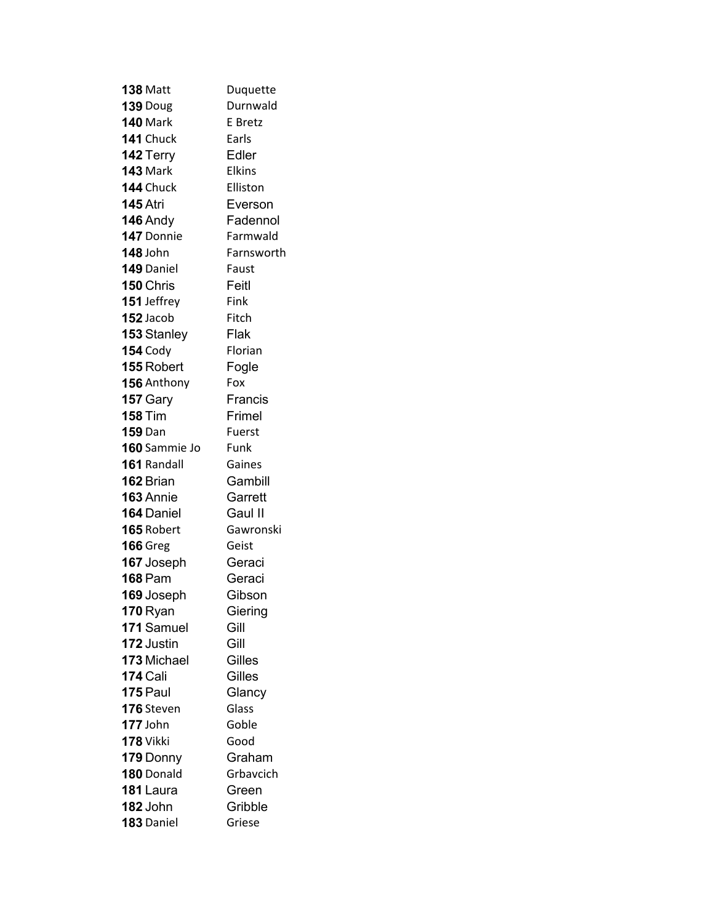| <b>138 Matt</b> | Duquette      |
|-----------------|---------------|
| 139 Doug        | Durnwald      |
| <b>140 Mark</b> | E Bretz       |
| 141 Chuck       | Earls         |
| 142 Terry       | Edler         |
| <b>143 Mark</b> | <b>Elkins</b> |
| 144 Chuck       | Elliston      |
| <b>145 Atri</b> | Everson       |
| <b>146 Andy</b> | Fadennol      |
| 147 Donnie      | Farmwald      |
| <b>148 John</b> | Farnsworth    |
| 149 Daniel      | Faust         |
| 150 Chris       | Feitl         |
| 151 Jeffrey     | Fink          |
| 152 Jacob       | Fitch         |
| 153 Stanley     | Flak          |
| <b>154 Cody</b> | Florian       |
| 155 Robert      | Fogle         |
| 156 Anthony     | Fox           |
| 157 Gary        | Francis       |
| <b>158 Tim</b>  | Frimel        |
| <b>159</b> Dan  | Fuerst        |
| 160 Sammie Jo   | Funk          |
| 161 Randall     | Gaines        |
| 162 Brian       | Gambill       |
| 163 Annie       | Garrett       |
| 164 Daniel      | Gaul II       |
| 165 Robert      | Gawronski     |
| <b>166 Greg</b> | Geist         |
| 167 Joseph      | Geraci        |
| <b>168 Pam</b>  | Geraci        |
| 169 Joseph      | Gibson        |
| <b>170 Ryan</b> | Giering       |
| 171 Samuel      | Gill          |
| 172 Justin      | Gill          |
| 173 Michael     | Gilles        |
| <b>174 Cali</b> | Gilles        |
| 175 Paul        | Glancy        |
| 176 Steven      | Glass         |
| 177 John        | Goble         |
| 178 Vikki       | Good          |
| 179 Donny       | Graham        |
| 180 Donald      | Grbavcich     |
| 181 Laura       | Green         |
| 182 John        | Gribble       |
| 183 Daniel      | Griese        |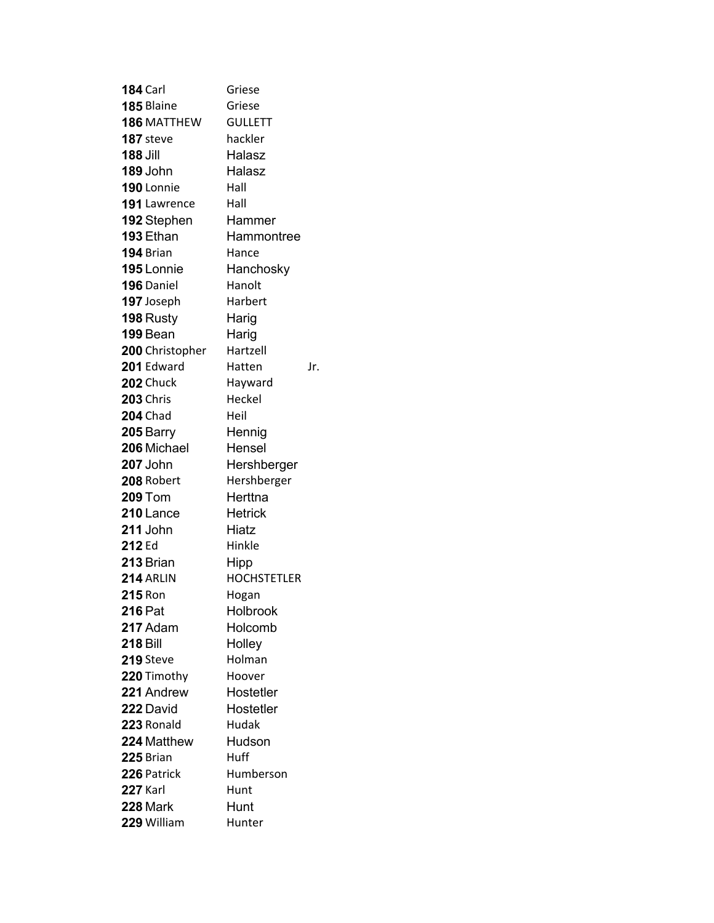| <b>184 Carl</b>  | Griese             |     |
|------------------|--------------------|-----|
| 185 Blaine       | Griese             |     |
| 186 MATTHEW      | <b>GULLETT</b>     |     |
| <b>187</b> steve | hackler            |     |
| <b>188 Jill</b>  | Halasz             |     |
| 189 John         | Halasz             |     |
| 190 Lonnie       | Hall               |     |
| 191 Lawrence     | Hall               |     |
| 192 Stephen      | Hammer             |     |
| <b>193 Ethan</b> | Hammontree         |     |
| 194 Brian        | Hance              |     |
| 195 Lonnie       | Hanchosky          |     |
| 196 Daniel       | Hanolt             |     |
| 197 Joseph       | Harbert            |     |
| 198 Rusty        | Harig              |     |
| 199 Bean         | Harig              |     |
| 200 Christopher  | Hartzell           |     |
| 201 Edward       | Hatten             | Jr. |
| <b>202</b> Chuck | Hayward            |     |
| <b>203 Chris</b> | Heckel             |     |
| <b>204 Chad</b>  | Heil               |     |
| 205 Barry        | Hennig             |     |
| 206 Michael      | Hensel             |     |
| 207 John         | Hershberger        |     |
| 208 Robert       | Hershberger        |     |
| <b>209 Tom</b>   | Herttna            |     |
| 210 Lance        | <b>Hetrick</b>     |     |
| 211 John         | Hiatz              |     |
| 212 Ed           | Hinkle             |     |
| 213 Brian        | Hipp               |     |
| 214 ARLIN        | <b>HOCHSTETLER</b> |     |
| <b>215 Ron</b>   | Hogan              |     |
| <b>216 Pat</b>   | Holbrook           |     |
| 217 Adam         | Holcomb            |     |
| <b>218 Bill</b>  | Holley             |     |
| 219 Steve        | Holman             |     |
| 220 Timothy      | Hoover             |     |
| 221 Andrew       | Hostetler          |     |
| 222 David        | Hostetler          |     |
| 223 Ronald       | Hudak              |     |
| 224 Matthew      | Hudson             |     |
| 225 Brian        | Huff               |     |
| 226 Patrick      | Humberson          |     |
| <b>227 Karl</b>  | Hunt               |     |
| 228 Mark         | Hunt               |     |
| 229 William      | Hunter             |     |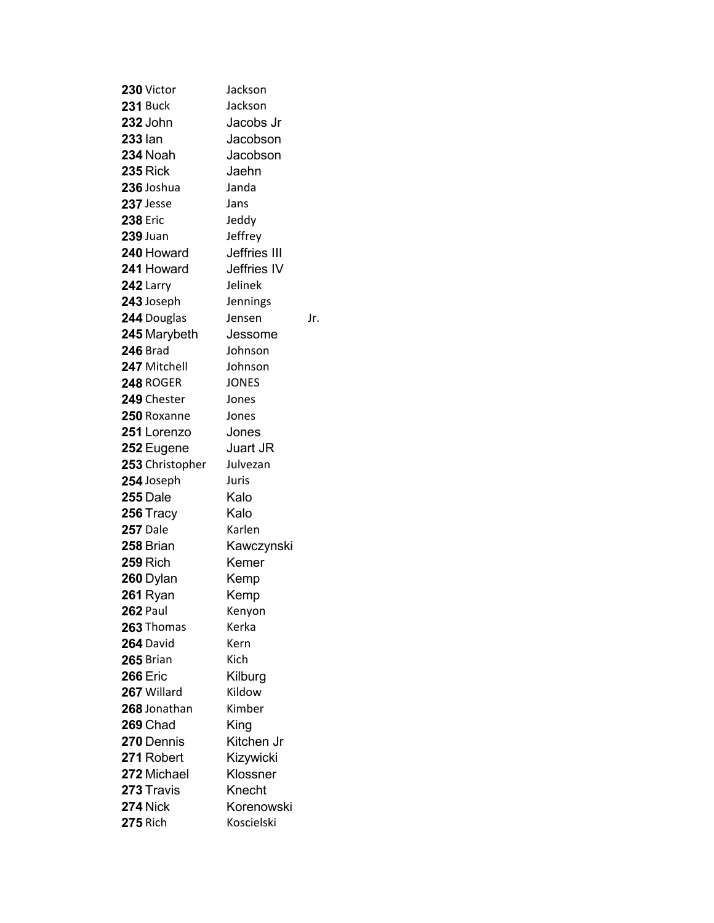| 230 Victor      | Jackson      |     |
|-----------------|--------------|-----|
| <b>231 Buck</b> | Jackson      |     |
| 232 John        | Jacobs Jr    |     |
| <b>233 lan</b>  | Jacobson     |     |
| 234 Noah        | Jacobson     |     |
| <b>235 Rick</b> | Jaehn        |     |
| 236 Joshua      | Janda        |     |
| 237 Jesse       | Jans         |     |
| <b>238 Eric</b> | Jeddy        |     |
| <b>239 Juan</b> | Jeffrey      |     |
| 240 Howard      | Jeffries III |     |
| 241 Howard      | Jeffries IV  |     |
| 242 Larry       | Jelinek      |     |
| 243 Joseph      | Jennings     |     |
| 244 Douglas     | Jensen       | Jr. |
| 245 Marybeth    | Jessome      |     |
| <b>246 Brad</b> | Johnson      |     |
| 247 Mitchell    | Johnson      |     |
| 248 ROGER       | <b>JONES</b> |     |
| 249 Chester     | Jones        |     |
| 250 Roxanne     | Jones        |     |
| 251 Lorenzo     | Jones        |     |
| 252 Eugene      | Juart JR     |     |
| 253 Christopher | Julvezan     |     |
| 254 Joseph      | Juris        |     |
| 255 Dale        | Kalo         |     |
| 256 Tracy       | Kalo         |     |
| <b>257 Dale</b> | Karlen       |     |
| 258 Brian       | Kawczynski   |     |
| <b>259 Rich</b> | Kemer        |     |
| 260 Dylan       | Kemp         |     |
| 261 Ryan        | Kemp         |     |
| <b>262 Paul</b> | Kenyon       |     |
| 263 Thomas      | Kerka        |     |
| 264 David       | Kern         |     |
| 265 Brian       | Kich         |     |
| <b>266 Eric</b> | Kilburg      |     |
| 267 Willard     | Kildow       |     |
| 268 Jonathan    | Kimber       |     |
| 269 Chad        | King         |     |
| 270 Dennis      | Kitchen Jr   |     |
| 271 Robert      | Kizywicki    |     |
| 272 Michael     | Klossner     |     |
| 273 Travis      | Knecht       |     |
| <b>274 Nick</b> | Korenowski   |     |
| <b>275 Rich</b> | Koscielski   |     |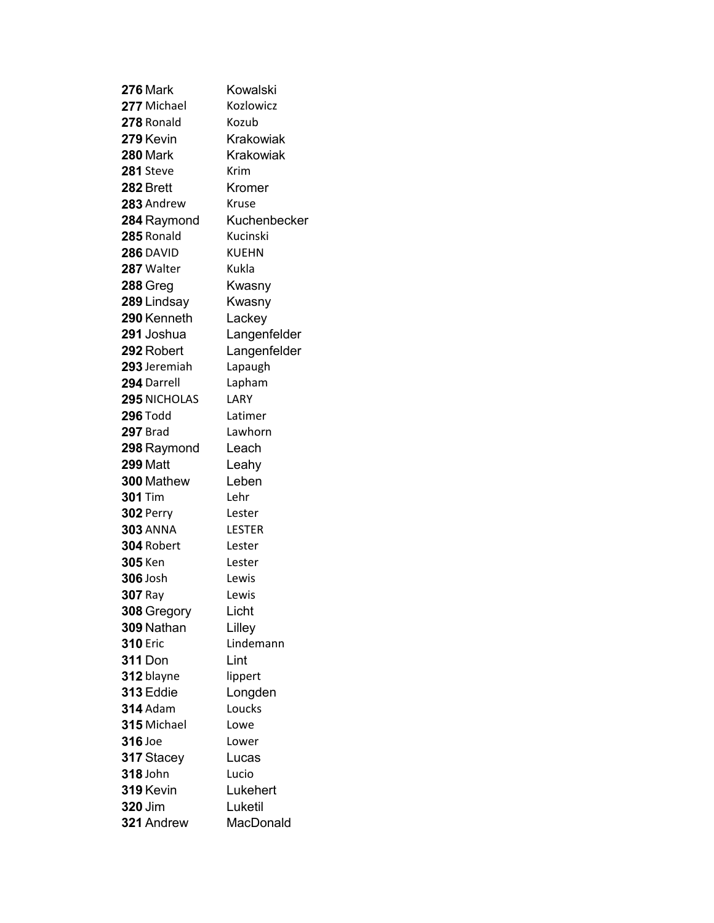| 276 Mark            | Kowalski     |
|---------------------|--------------|
| 277 Michael         | Kozlowicz    |
| 278 Ronald          | Kozub        |
| 279 Kevin           | Krakowiak    |
| <b>280 Mark</b>     | Krakowiak    |
| 281 Steve           | Krim         |
| 282 Brett           | Kromer       |
| 283 Andrew          | Kruse        |
| 284 Raymond         | Kuchenbecker |
| 285 Ronald          | Kucinski     |
| 286 DAVID           | KUEHN        |
| 287 Walter          | Kukla        |
| 288 Greg            | Kwasny       |
| 289 Lindsay         | Kwasny       |
| 290 Kenneth         | Lackey       |
| 291 Joshua          | Langenfelder |
| 292 Robert          | Langenfelder |
| 293 Jeremiah        | Lapaugh      |
| 294 Darrell         | Lapham       |
| <b>295 NICHOLAS</b> | LARY         |
| <b>296 Todd</b>     | Latimer      |
| <b>297 Brad</b>     | Lawhorn      |
| 298 Raymond         | Leach        |
| <b>299 Matt</b>     | Leahy        |
| 300 Mathew          | Leben        |
| <b>301</b> Tim      | Lehr         |
| <b>302 Perry</b>    | Lester       |
| <b>303 ANNA</b>     | LESTER       |
| <b>304 Robert</b>   | Lester       |
| <b>305</b> Ken      | Lester       |
| <b>306</b> Josh     | Lewis        |
| <b>307 Ray</b>      | Lewis        |
| 308 Gregory         | Licht        |
| 309 Nathan          | Lilley       |
| <b>310 Eric</b>     | Lindemann    |
| <b>311</b> Don      | Lint         |
| 312 blayne          | lippert      |
| 313 Eddie           | Longden      |
| <b>314</b> Adam     | Loucks       |
| 315 Michael         | Lowe         |
| 316 Joe             | Lower        |
| 317 Stacey          | Lucas        |
| 318 John            | Lucio        |
| 319 Kevin           | Lukehert     |
| <b>320 Jim</b>      | Luketil      |
| 321 Andrew          | MacDonald    |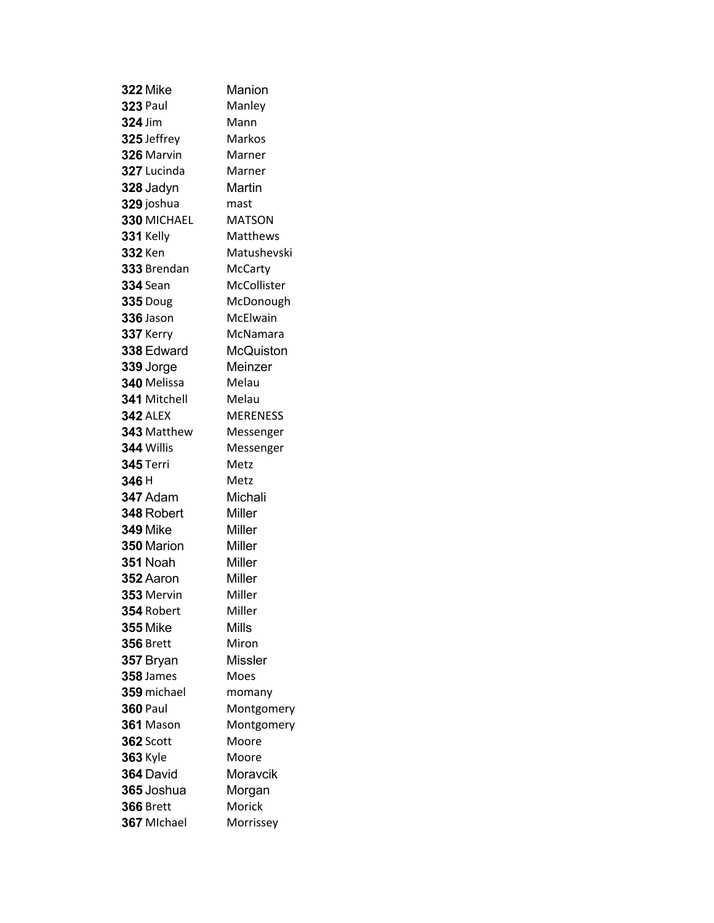| <b>322 Mike</b>  | Manion          |
|------------------|-----------------|
| <b>323 Paul</b>  | Manley          |
| <b>324 Jim</b>   | Mann            |
| 325 Jeffrey      | Markos          |
| 326 Marvin       | Marner          |
| 327 Lucinda      | Marner          |
| 328 Jadyn        | Martin          |
| 329 joshua       | mast            |
| 330 MICHAEL      | <b>MATSON</b>   |
| 331 Kelly        | <b>Matthews</b> |
| 332 Ken          | Matushevski     |
| 333 Brendan      | McCarty         |
| 334 Sean         | McCollister     |
| <b>335 Doug</b>  | McDonough       |
| <b>336</b> Jason | McElwain        |
| 337 Kerry        | McNamara        |
| 338 Edward       | McQuiston       |
| 339 Jorge        | Meinzer         |
| 340 Melissa      | Melau           |
| 341 Mitchell     | Melau           |
| <b>342 ALEX</b>  | <b>MERENESS</b> |
| 343 Matthew      | Messenger       |
| 344 Willis       | Messenger       |
| <b>345 Terri</b> | Metz            |
| 346 H            | Metz            |
| <b>347</b> Adam  | Michali         |
| 348 Robert       | Miller          |
| <b>349 Mike</b>  | Miller          |
| 350 Marion       | Miller          |
| <b>351</b> Noah  | Miller          |
| 352 Aaron        | Miller          |
| 353 Mervin       | Miller          |
| 354 Robert       | Miller          |
| <b>355 Mike</b>  | <b>Mills</b>    |
| <b>356</b> Brett | Miron           |
| 357 Bryan        | <b>Missler</b>  |
| 358 James        | Moes            |
| 359 michael      | momany          |
| <b>360 Paul</b>  | Montgomery      |
| <b>361</b> Mason | Montgomery      |
| <b>362 Scott</b> | Moore           |
| <b>363 Kyle</b>  | Moore           |
| 364 David        | Moravcik        |
| 365 Joshua       | Morgan          |
| <b>366 Brett</b> | Morick          |
| 367 Michael      | Morrissey       |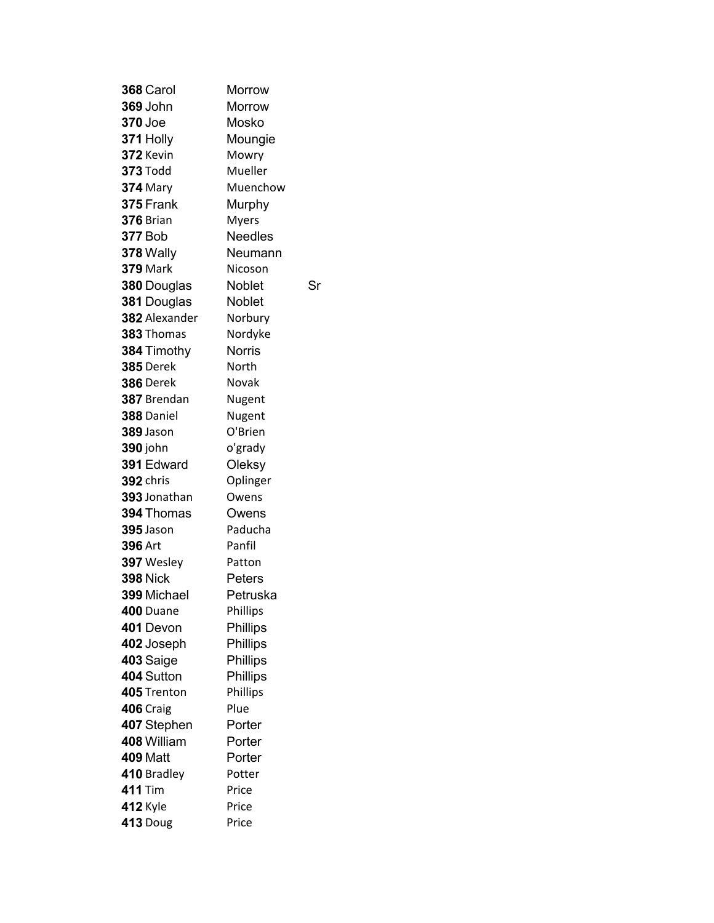| 368 Carol         | Morrow         |  |
|-------------------|----------------|--|
| 369 John          | Morrow         |  |
| 370 Joe           | Mosko          |  |
| 371 Holly         | Moungie        |  |
| 372 Kevin         | Mowry          |  |
| 373 Todd          | Mueller        |  |
| <b>374</b> Mary   | Muenchow       |  |
| 375 Frank         | Murphy         |  |
| <b>376</b> Brian  | <b>Myers</b>   |  |
| <b>377 Bob</b>    | <b>Needles</b> |  |
| 378 Wally         | Neumann        |  |
| 379 Mark          | Nicoson        |  |
| 380 Douglas       | Noblet<br>Sr   |  |
| 381 Douglas       | <b>Noblet</b>  |  |
| 382 Alexander     | Norbury        |  |
| 383 Thomas        | Nordyke        |  |
| 384 Timothy       | <b>Norris</b>  |  |
| <b>385 Derek</b>  | North          |  |
| <b>386</b> Derek  | Novak          |  |
| 387 Brendan       | Nugent         |  |
| <b>388</b> Daniel | Nugent         |  |
| <b>389</b> Jason  | O'Brien        |  |
| 390 john          | o'grady        |  |
| 391 Edward        | Oleksy         |  |
| 392 chris         | Oplinger       |  |
| 393 Jonathan      | Owens          |  |
| 394 Thomas        | Owens          |  |
| 395 Jason         | Paducha        |  |
| 396 Art           | Panfil         |  |
| 397 Wesley        | Patton         |  |
| <b>398 Nick</b>   | Peters         |  |
| 399 Michael       | Petruska       |  |
| 400 Duane         | Phillips       |  |
| 401 Devon         | Phillips       |  |
| 402 Joseph        | Phillips       |  |
| 403 Saige         | Phillips       |  |
| 404 Sutton        | Phillips       |  |
| 405 Trenton       | Phillips       |  |
| <b>406 Craig</b>  | Plue           |  |
| 407 Stephen       | Porter         |  |
| 408 William       | Porter         |  |
| <b>409 Matt</b>   | Porter         |  |
| 410 Bradley       | Potter         |  |
| <b>411 Tim</b>    | Price          |  |
| <b>412 Kyle</b>   | Price          |  |
| <b>413 Doug</b>   | Price          |  |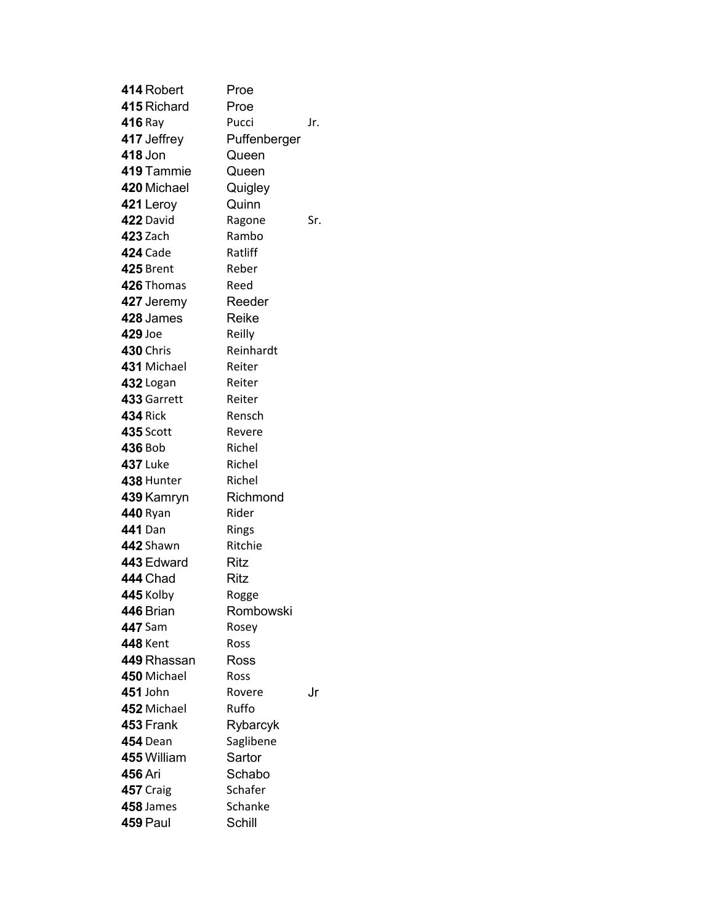| 414 Robert       | Proe         |     |
|------------------|--------------|-----|
| 415 Richard      | Proe         |     |
| <b>416</b> Ray   | Pucci        | Jr. |
| 417 Jeffrey      | Puffenberger |     |
| 418 Jon          | Queen        |     |
| 419 Tammie       | Queen        |     |
| 420 Michael      | Quigley      |     |
| 421 Leroy        | Quinn        |     |
| 422 David        | Ragone       | Sr. |
| 423 Zach         | Rambo        |     |
| <b>424 Cade</b>  | Ratliff      |     |
| <b>425 Brent</b> | Reber        |     |
| 426 Thomas       | Reed         |     |
| 427 Jeremy       | Reeder       |     |
| 428 James        | Reike        |     |
| 429 Joe          | Reilly       |     |
| <b>430 Chris</b> | Reinhardt    |     |
| 431 Michael      | Reiter       |     |
| <b>432</b> Logan | Reiter       |     |
| 433 Garrett      | Reiter       |     |
| <b>434 Rick</b>  | Rensch       |     |
| <b>435 Scott</b> | Revere       |     |
| 436 Bob          | Richel       |     |
| <b>437 Luke</b>  | Richel       |     |
| 438 Hunter       | Richel       |     |
| 439 Kamryn       | Richmond     |     |
| <b>440 Ryan</b>  | Rider        |     |
| 441 Dan          | Rings        |     |
| 442 Shawn        | Ritchie      |     |
| 443 Edward       | Ritz         |     |
| <b>444 Chad</b>  | Ritz         |     |
| <b>445 Kolby</b> | Rogge        |     |
| 446 Brian        | Rombowski    |     |
| 447 Sam          | Rosey        |     |
| <b>448</b> Kent  | Ross         |     |
| 449 Rhassan      | Ross         |     |
| 450 Michael      | Ross         |     |
| 451 John         | Rovere       | .Jr |
| 452 Michael      | Ruffo        |     |
| 453 Frank        | Rybarcyk     |     |
| <b>454</b> Dean  | Saglibene    |     |
| 455 William      | Sartor       |     |
| <b>456 Ari</b>   | Schabo       |     |
| 457 Craig        | Schafer      |     |
| 458 James        | Schanke      |     |
| 459 Paul         | Schill       |     |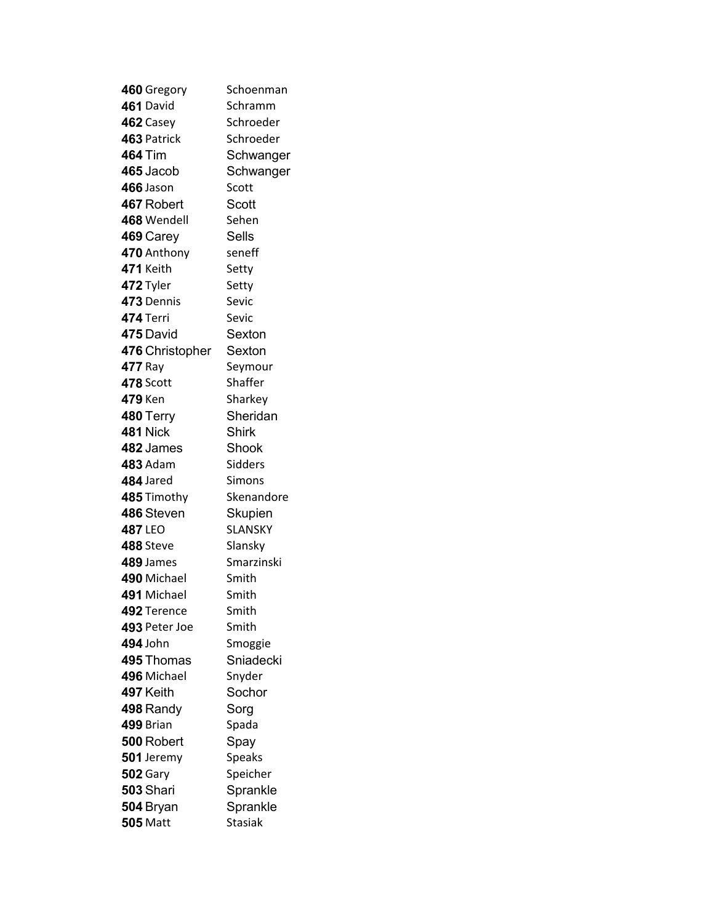| 460 Gregory      | Schoenman      |
|------------------|----------------|
| 461 David        | Schramm        |
| 462 Casey        | Schroeder      |
| 463 Patrick      | Schroeder      |
| <b>464 Tim</b>   | Schwanger      |
| 465 Jacob        | Schwanger      |
| 466 Jason        | Scott          |
| 467 Robert       | Scott          |
| 468 Wendell      | Sehen          |
| 469 Carey        | <b>Sells</b>   |
| 470 Anthony      | seneff         |
| 471 Keith        | Setty          |
| 472 Tyler        | Setty          |
| 473 Dennis       | Sevic          |
| 474 Terri        | Sevic          |
| 475 David        | Sexton         |
| 476 Christopher  | Sexton         |
| 477 Ray          | Seymour        |
| 478 Scott        | Shaffer        |
| <b>479 Ken</b>   | Sharkey        |
| 480 Terry        | Sheridan       |
| <b>481 Nick</b>  | <b>Shirk</b>   |
| 482 James        | Shook          |
| <b>483 Adam</b>  | Sidders        |
| 484 Jared        | Simons         |
| 485 Timothy      | Skenandore     |
| 486 Steven       | Skupien        |
| <b>487 LEO</b>   | <b>SLANSKY</b> |
| 488 Steve        | Slansky        |
| 489 James        | Smarzinski     |
| 490 Michael      | Smith          |
| 491 Michael      | Smith          |
| 492 Terence      | Smith          |
| 493 Peter Joe    | Smith          |
| 494 John         | Smoggie        |
| 495 Thomas       | Sniadecki      |
| 496 Michael      | Snyder         |
| 497 Keith        | Sochor         |
| 498 Randy        | Sorg           |
| 499 Brian        | Spada          |
| 500 Robert       | Spay           |
| 501 Jeremy       | <b>Speaks</b>  |
| <b>502 Gary</b>  | Speicher       |
| <b>503 Shari</b> | Sprankle       |
| 504 Bryan        | Sprankle       |
| <b>505 Matt</b>  | <b>Stasiak</b> |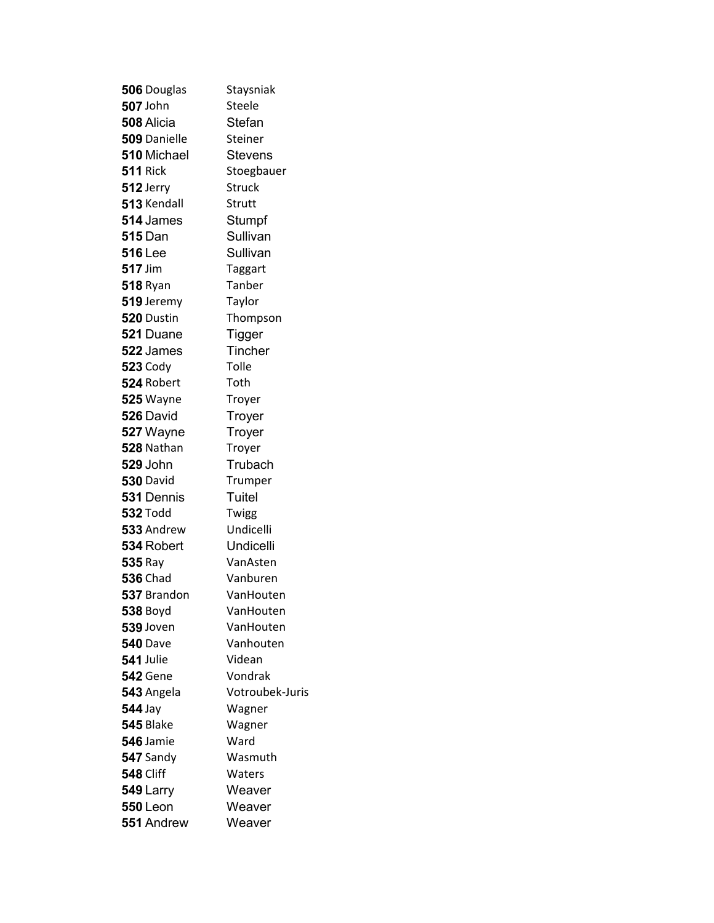| 506 Douglas       | Staysniak       |
|-------------------|-----------------|
| <b>507</b> John   | Steele          |
| 508 Alicia        | Stefan          |
| 509 Danielle      | Steiner         |
| 510 Michael       | <b>Stevens</b>  |
| <b>511 Rick</b>   | Stoegbauer      |
| 512 Jerry         | <b>Struck</b>   |
| 513 Kendall       | Strutt          |
| 514 James         | Stumpf          |
| <b>515</b> Dan    | Sullivan        |
| <b>516</b> Lee    | Sullivan        |
| 517 Jim           | Taggart         |
| <b>518 Ryan</b>   | Tanber          |
| 519 Jeremy        | Taylor          |
| <b>520</b> Dustin | Thompson        |
| 521 Duane         | <b>Tigger</b>   |
| 522 James         | Tincher         |
| <b>523 Cody</b>   | Tolle           |
| 524 Robert        | Toth            |
| <b>525</b> Wayne  | Troyer          |
| 526 David         | Troyer          |
| 527 Wayne         | Troyer          |
| 528 Nathan        | Troyer          |
| <b>529 John</b>   | Trubach         |
| <b>530 David</b>  | Trumper         |
| 531 Dennis        | Tuitel          |
| <b>532 Todd</b>   | Twigg           |
| 533 Andrew        | Undicelli       |
| 534 Robert        | Undicelli       |
| <b>535 Ray</b>    | VanAsten        |
| <b>536 Chad</b>   | Vanburen        |
| 537 Brandon       | VanHouten       |
| <b>538 Boyd</b>   | VanHouten       |
| 539 Joven         | VanHouten       |
| <b>540 Dave</b>   | Vanhouten       |
| 541 Julie         | Videan          |
| <b>542</b> Gene   | Vondrak         |
| 543 Angela        | Votroubek-Juris |
| <b>544 Jay</b>    | Wagner          |
| <b>545 Blake</b>  | Wagner          |
| 546 Jamie         | Ward            |
| 547 Sandy         | Wasmuth         |
| <b>548 Cliff</b>  | Waters          |
| 549 Larry         | Weaver          |
| <b>550 Leon</b>   | Weaver          |
| 551 Andrew        | Weaver          |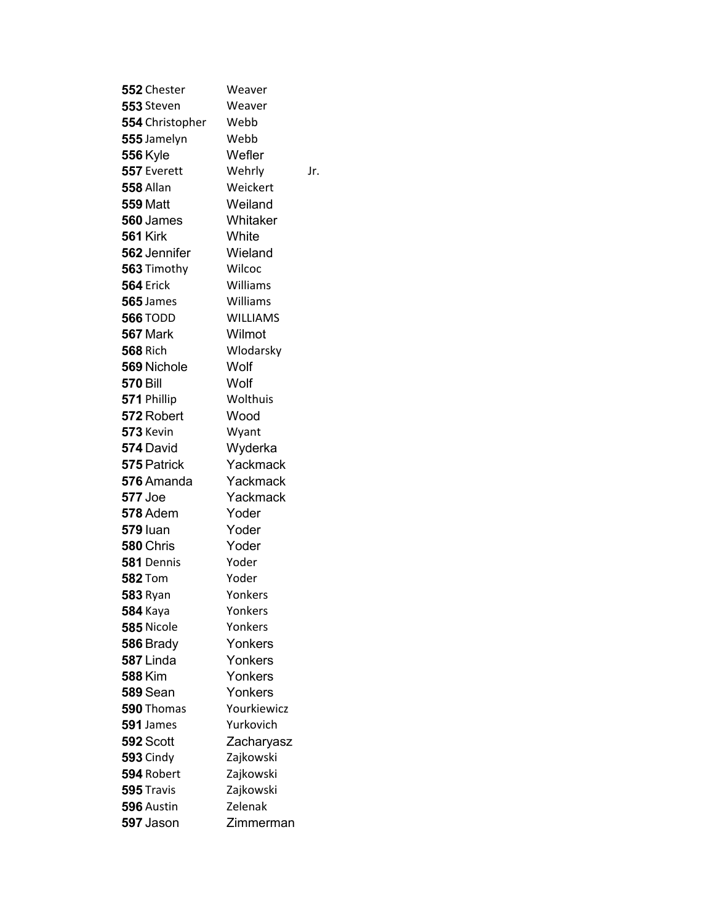| 552 Chester        | Weaver          |
|--------------------|-----------------|
| 553 Steven         | Weaver          |
| 554 Christopher    | Webb            |
| 555 Jamelyn        | Webb            |
| <b>556 Kyle</b>    | Wefler          |
| 557 Everett        | Wehrly<br>Jr.   |
| <b>558 Allan</b>   | Weickert        |
| <b>559 Matt</b>    | Weiland         |
| 560 James          | Whitaker        |
| <b>561 Kirk</b>    | White           |
| 562 Jennifer       | Wieland         |
| 563 Timothy        | Wilcoc          |
| <b>564 Erick</b>   | Williams        |
| <b>565</b> James   | Williams        |
| <b>566 TODD</b>    | <b>WILLIAMS</b> |
| <b>567</b> Mark    | Wilmot          |
| <b>568 Rich</b>    | Wlodarsky       |
| <b>569 Nichole</b> | Wolf            |
| <b>570 Bill</b>    | Wolf            |
| 571 Phillip        | Wolthuis        |
| 572 Robert         | Wood            |
| 573 Kevin          | Wyant           |
| 574 David          | Wyderka         |
| 575 Patrick        | Yackmack        |
| 576 Amanda         | Yackmack        |
| <b>577 Joe</b>     | Yackmack        |
| <b>578</b> Adem    | Yoder           |
| <b>579 luan</b>    | Yoder           |
| 580 Chris          | Yoder           |
| 581 Dennis         | Yoder           |
| <b>582</b> Tom     | Yoder           |
| <b>583 Ryan</b>    | Yonkers         |
| <b>584</b> Kaya    | Yonkers         |
| 585 Nicole         | Yonkers         |
| 586 Brady          | Yonkers         |
| 587 Linda          | Yonkers         |
| <b>588 Kim</b>     | Yonkers         |
| <b>589 Sean</b>    | Yonkers         |
| 590 Thomas         | Yourkiewicz     |
| 591 James          | Yurkovich       |
| 592 Scott          | Zacharyasz      |
| <b>593 Cindy</b>   | Zajkowski       |
| 594 Robert         | Zajkowski       |
| 595 Travis         | Zajkowski       |
| 596 Austin         | Zelenak         |
| 597 Jason          | Zimmerman       |